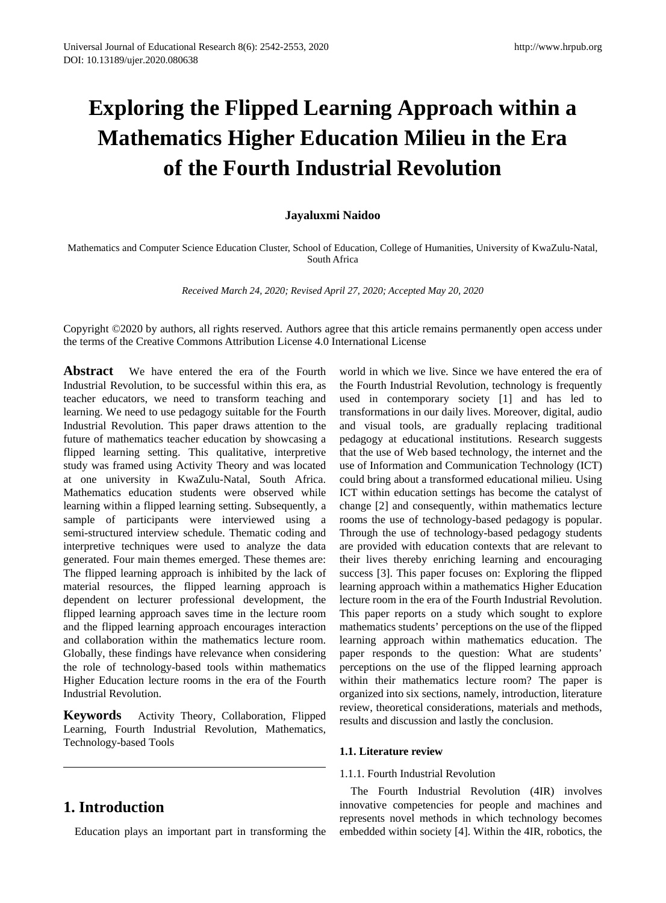# **Exploring the Flipped Learning Approach within a Mathematics Higher Education Milieu in the Era of the Fourth Industrial Revolution**

#### **Jayaluxmi Naidoo**

Mathematics and Computer Science Education Cluster, School of Education, College of Humanities, University of KwaZulu-Natal, South Africa

*Received March 24, 2020; Revised April 27, 2020; Accepted May 20, 2020*

Copyright ©2020 by authors, all rights reserved. Authors agree that this article remains permanently open access under the terms of the Creative Commons Attribution License 4.0 International License

**Abstract** We have entered the era of the Fourth Industrial Revolution, to be successful within this era, as teacher educators, we need to transform teaching and learning. We need to use pedagogy suitable for the Fourth Industrial Revolution. This paper draws attention to the future of mathematics teacher education by showcasing a flipped learning setting. This qualitative, interpretive study was framed using Activity Theory and was located at one university in KwaZulu-Natal, South Africa. Mathematics education students were observed while learning within a flipped learning setting. Subsequently, a sample of participants were interviewed using a semi-structured interview schedule. Thematic coding and interpretive techniques were used to analyze the data generated. Four main themes emerged. These themes are: The flipped learning approach is inhibited by the lack of material resources, the flipped learning approach is dependent on lecturer professional development, the flipped learning approach saves time in the lecture room and the flipped learning approach encourages interaction and collaboration within the mathematics lecture room. Globally, these findings have relevance when considering the role of technology-based tools within mathematics Higher Education lecture rooms in the era of the Fourth Industrial Revolution.

**Keywords** Activity Theory, Collaboration, Flipped Learning, Fourth Industrial Revolution, Mathematics, Technology-based Tools

### **1. Introduction**

Education plays an important part in transforming the

world in which we live. Since we have entered the era of the Fourth Industrial Revolution, technology is frequently used in contemporary society [1] and has led to transformations in our daily lives. Moreover, digital, audio and visual tools, are gradually replacing traditional pedagogy at educational institutions. Research suggests that the use of Web based technology, the internet and the use of Information and Communication Technology (ICT) could bring about a transformed educational milieu. Using ICT within education settings has become the catalyst of change [2] and consequently, within mathematics lecture rooms the use of technology-based pedagogy is popular. Through the use of technology-based pedagogy students are provided with education contexts that are relevant to their lives thereby enriching learning and encouraging success [3]. This paper focuses on: Exploring the flipped learning approach within a mathematics Higher Education lecture room in the era of the Fourth Industrial Revolution. This paper reports on a study which sought to explore mathematics students' perceptions on the use of the flipped learning approach within mathematics education. The paper responds to the question: What are students' perceptions on the use of the flipped learning approach within their mathematics lecture room? The paper is organized into six sections, namely, introduction, literature review, theoretical considerations, materials and methods, results and discussion and lastly the conclusion.

#### **1.1. Literature review**

#### 1.1.1. Fourth Industrial Revolution

The Fourth Industrial Revolution (4IR) involves innovative competencies for people and machines and represents novel methods in which technology becomes embedded within society [4]. Within the 4IR, robotics, the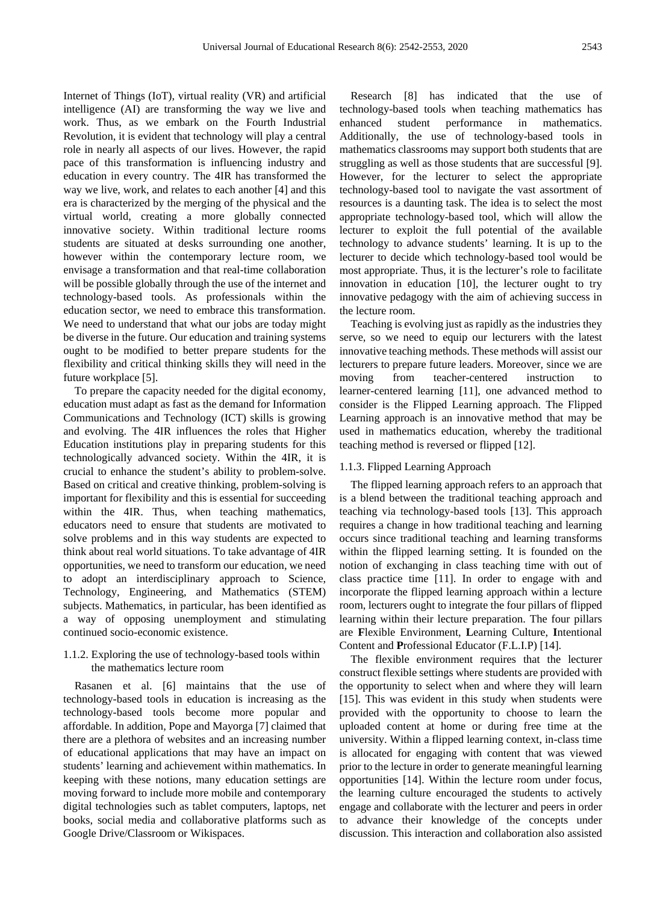Internet of Things (IoT), virtual reality (VR) and artificial intelligence (AI) are transforming the way we live and work. Thus, as we embark on the Fourth Industrial Revolution, it is evident that technology will play a central role in nearly all aspects of our lives. However, the rapid pace of this transformation is influencing industry and education in every country. The 4IR has transformed the way we live, work, and relates to each another [4] and this era is characterized by the merging of the physical and the virtual world, creating a more globally connected innovative society. Within traditional lecture rooms students are situated at desks surrounding one another, however within the contemporary lecture room, we envisage a transformation and that real-time collaboration will be possible globally through the use of the internet and technology-based tools. As professionals within the education sector, we need to embrace this transformation. We need to understand that what our jobs are today might be diverse in the future. Our education and training systems ought to be modified to better prepare students for the flexibility and critical thinking skills they will need in the future workplace [5].

To prepare the capacity needed for the digital economy, education must adapt as fast as the demand for Information Communications and Technology (ICT) skills is growing and evolving. The 4IR influences the roles that Higher Education institutions play in preparing students for this technologically advanced society. Within the 4IR, it is crucial to enhance the student's ability to problem-solve. Based on critical and creative thinking, problem-solving is important for flexibility and this is essential for succeeding within the 4IR. Thus, when teaching mathematics, educators need to ensure that students are motivated to solve problems and in this way students are expected to think about real world situations. To take advantage of 4IR opportunities, we need to transform our education, we need to adopt an interdisciplinary approach to Science, Technology, Engineering, and Mathematics (STEM) subjects. Mathematics, in particular, has been identified as a way of opposing unemployment and stimulating continued socio-economic existence.

#### 1.1.2. Exploring the use of technology-based tools within the mathematics lecture room

Rasanen et al. [6] maintains that the use of technology-based tools in education is increasing as the technology-based tools become more popular and affordable. In addition, Pope and Mayorga [7] claimed that there are a plethora of websites and an increasing number of educational applications that may have an impact on students' learning and achievement within mathematics. In keeping with these notions, many education settings are moving forward to include more mobile and contemporary digital technologies such as tablet computers, laptops, net books, social media and collaborative platforms such as Google Drive/Classroom or Wikispaces.

Research [8] has indicated that the use of technology-based tools when teaching mathematics has enhanced student performance in mathematics. Additionally, the use of technology-based tools in mathematics classrooms may support both students that are struggling as well as those students that are successful [9]. However, for the lecturer to select the appropriate technology-based tool to navigate the vast assortment of resources is a daunting task. The idea is to select the most appropriate technology-based tool, which will allow the lecturer to exploit the full potential of the available technology to advance students' learning. It is up to the lecturer to decide which technology-based tool would be most appropriate. Thus, it is the lecturer's role to facilitate innovation in education [10], the lecturer ought to try innovative pedagogy with the aim of achieving success in the lecture room.

Teaching is evolving just as rapidly as the industries they serve, so we need to equip our lecturers with the latest innovative teaching methods. These methods will assist our lecturers to prepare future leaders. Moreover, since we are moving from teacher-centered instruction to learner-centered learning [11], one advanced method to consider is the Flipped Learning approach. The Flipped Learning approach is an innovative method that may be used in mathematics education, whereby the traditional teaching method is reversed or flipped [12].

#### 1.1.3. Flipped Learning Approach

The flipped learning approach refers to an approach that is a blend between the traditional teaching approach and teaching via technology-based tools [13]. This approach requires a change in how traditional teaching and learning occurs since traditional teaching and learning transforms within the flipped learning setting. It is founded on the notion of exchanging in class teaching time with out of class practice time [11]. In order to engage with and incorporate the flipped learning approach within a lecture room, lecturers ought to integrate the four pillars of flipped learning within their lecture preparation. The four pillars are **F**lexible Environment, **L**earning Culture, **I**ntentional Content and **P**rofessional Educator (F.L.I.P) [14].

The flexible environment requires that the lecturer construct flexible settings where students are provided with the opportunity to select when and where they will learn [15]. This was evident in this study when students were provided with the opportunity to choose to learn the uploaded content at home or during free time at the university. Within a flipped learning context, in-class time is allocated for engaging with content that was viewed prior to the lecture in order to generate meaningful learning opportunities [14]. Within the lecture room under focus, the learning culture encouraged the students to actively engage and collaborate with the lecturer and peers in order to advance their knowledge of the concepts under discussion. This interaction and collaboration also assisted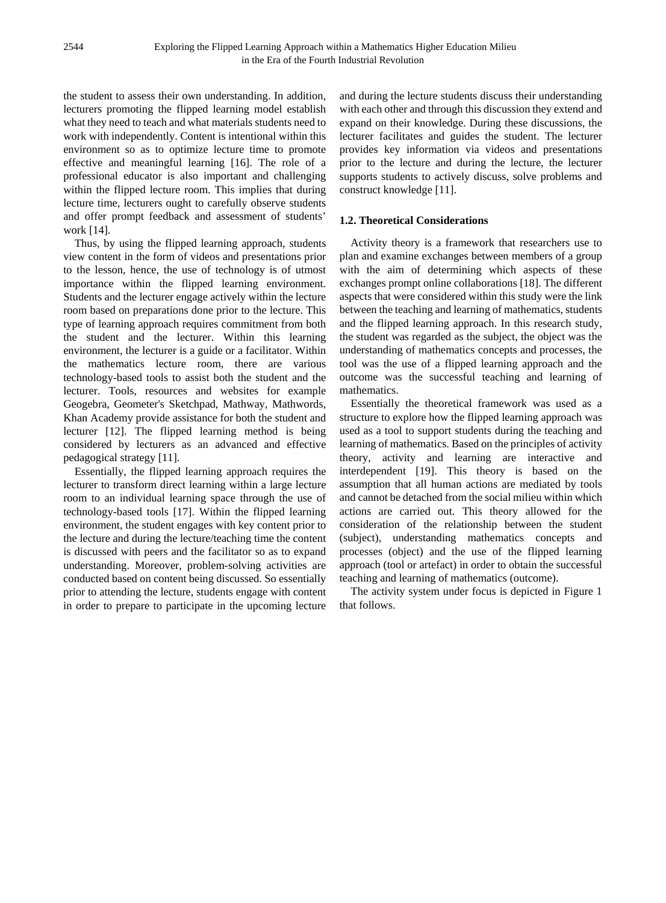the student to assess their own understanding. In addition, lecturers promoting the flipped learning model establish what they need to teach and what materials students need to work with independently. Content is intentional within this environment so as to optimize lecture time to promote effective and meaningful learning [16]. The role of a professional educator is also important and challenging within the flipped lecture room. This implies that during lecture time, lecturers ought to carefully observe students and offer prompt feedback and assessment of students' work [14].

Thus, by using the flipped learning approach, students view content in the form of videos and presentations prior to the lesson, hence, the use of technology is of utmost importance within the flipped learning environment. Students and the lecturer engage actively within the lecture room based on preparations done prior to the lecture. This type of learning approach requires commitment from both the student and the lecturer. Within this learning environment, the lecturer is a guide or a facilitator. Within the mathematics lecture room, there are various technology-based tools to assist both the student and the lecturer. Tools, resources and websites for example Geogebra, Geometer's Sketchpad, Mathway, Mathwords, Khan Academy provide assistance for both the student and lecturer [12]. The flipped learning method is being considered by lecturers as an advanced and effective pedagogical strategy [11].

Essentially, the flipped learning approach requires the lecturer to transform direct learning within a large lecture room to an individual learning space through the use of technology-based tools [17]. Within the flipped learning environment, the student engages with key content prior to the lecture and during the lecture/teaching time the content is discussed with peers and the facilitator so as to expand understanding. Moreover, problem-solving activities are conducted based on content being discussed. So essentially prior to attending the lecture, students engage with content in order to prepare to participate in the upcoming lecture

and during the lecture students discuss their understanding with each other and through this discussion they extend and expand on their knowledge. During these discussions, the lecturer facilitates and guides the student. The lecturer provides key information via videos and presentations prior to the lecture and during the lecture, the lecturer supports students to actively discuss, solve problems and construct knowledge [11].

#### **1.2. Theoretical Considerations**

Activity theory is a framework that researchers use to plan and examine exchanges between members of a group with the aim of determining which aspects of these exchanges prompt online collaborations [18]. The different aspects that were considered within this study were the link between the teaching and learning of mathematics, students and the flipped learning approach. In this research study, the student was regarded as the subject, the object was the understanding of mathematics concepts and processes, the tool was the use of a flipped learning approach and the outcome was the successful teaching and learning of mathematics.

Essentially the theoretical framework was used as a structure to explore how the flipped learning approach was used as a tool to support students during the teaching and learning of mathematics. Based on the principles of activity theory, activity and learning are interactive and interdependent [19]. This theory is based on the assumption that all human actions are mediated by tools and cannot be detached from the social milieu within which actions are carried out. This theory allowed for the consideration of the relationship between the student (subject), understanding mathematics concepts and processes (object) and the use of the flipped learning approach (tool or artefact) in order to obtain the successful teaching and learning of mathematics (outcome).

The activity system under focus is depicted in Figure 1 that follows.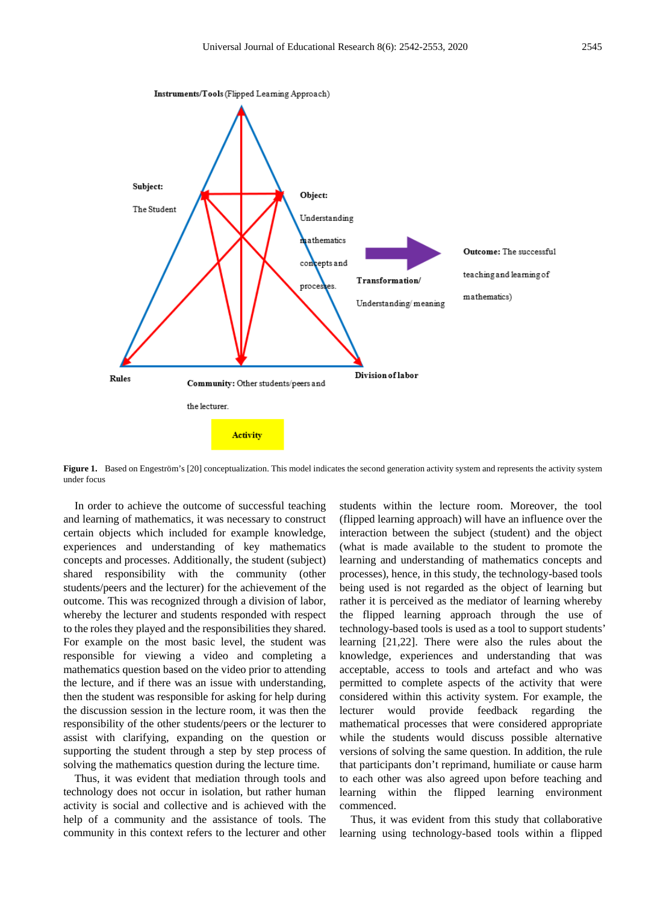

Figure 1. Based on Engeström's [20] conceptualization. This model indicates the second generation activity system and represents the activity system under focus

In order to achieve the outcome of successful teaching and learning of mathematics, it was necessary to construct certain objects which included for example knowledge, experiences and understanding of key mathematics concepts and processes. Additionally, the student (subject) shared responsibility with the community (other students/peers and the lecturer) for the achievement of the outcome. This was recognized through a division of labor, whereby the lecturer and students responded with respect to the roles they played and the responsibilities they shared. For example on the most basic level, the student was responsible for viewing a video and completing a mathematics question based on the video prior to attending the lecture, and if there was an issue with understanding, then the student was responsible for asking for help during the discussion session in the lecture room, it was then the responsibility of the other students/peers or the lecturer to assist with clarifying, expanding on the question or supporting the student through a step by step process of solving the mathematics question during the lecture time.

Thus, it was evident that mediation through tools and technology does not occur in isolation, but rather human activity is social and collective and is achieved with the help of a community and the assistance of tools. The community in this context refers to the lecturer and other students within the lecture room. Moreover, the tool (flipped learning approach) will have an influence over the interaction between the subject (student) and the object (what is made available to the student to promote the learning and understanding of mathematics concepts and processes), hence, in this study, the technology-based tools being used is not regarded as the object of learning but rather it is perceived as the mediator of learning whereby the flipped learning approach through the use of technology-based tools is used as a tool to support students' learning [21,22]. There were also the rules about the knowledge, experiences and understanding that was acceptable, access to tools and artefact and who was permitted to complete aspects of the activity that were considered within this activity system. For example, the lecturer would provide feedback regarding the mathematical processes that were considered appropriate while the students would discuss possible alternative versions of solving the same question. In addition, the rule that participants don't reprimand, humiliate or cause harm to each other was also agreed upon before teaching and learning within the flipped learning environment commenced.

Thus, it was evident from this study that collaborative learning using technology-based tools within a flipped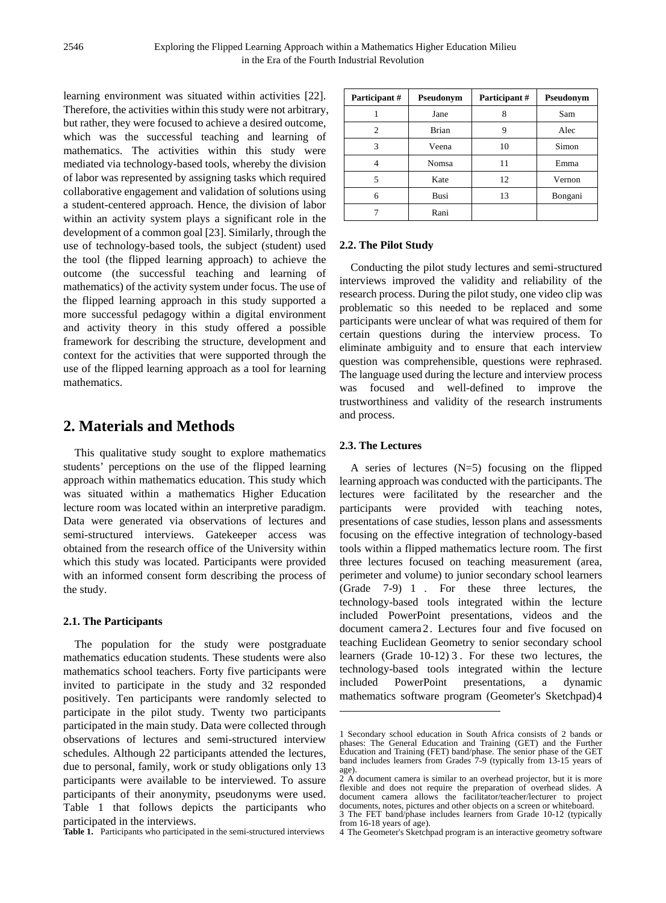learning environment was situated within activities [22]. Therefore, the activities within this study were not arbitrary, but rather, they were focused to achieve a desired outcome, which was the successful teaching and learning of mathematics. The activities within this study were mediated via technology-based tools, whereby the division of labor was represented by assigning tasks which required collaborative engagement and validation of solutions using a student-centered approach. Hence, the division of labor within an activity system plays a significant role in the development of a common goal [23]. Similarly, through the use of technology-based tools, the subject (student) used the tool (the flipped learning approach) to achieve the outcome (the successful teaching and learning of mathematics) of the activity system under focus. The use of the flipped learning approach in this study supported a more successful pedagogy within a digital environment and activity theory in this study offered a possible framework for describing the structure, development and context for the activities that were supported through the use of the flipped learning approach as a tool for learning mathematics.

### **2. Materials and Methods**

This qualitative study sought to explore mathematics students' perceptions on the use of the flipped learning approach within mathematics education. This study which was situated within a mathematics Higher Education lecture room was located within an interpretive paradigm. Data were generated via observations of lectures and semi-structured interviews. Gatekeeper access was obtained from the research office of the University within which this study was located. Participants were provided with an informed consent form describing the process of the study.

#### **2.1. The Participants**

<span id="page-4-0"></span>The population for the study were postgraduate mathematics education students. These students were also mathematics school teachers. Forty five participants were invited to participate in the study and 32 responded positively. Ten participants were randomly selected to participate in the pilot study. Twenty two participants participated in the main study. Data were collected through observations of lectures and semi-structured interview schedules. Although 22 participants attended the lectures, due to personal, family, work or study obligations only 13 participants were available to be interviewed. To assure participants of their anonymity, pseudonyms were used. Table 1 that follows depicts the participants who participated in the interviews.

<span id="page-4-3"></span><span id="page-4-2"></span><span id="page-4-1"></span>**Table 1.** Participants who participated in the semi-structured interviews

| Participant # | Pseudonym    | Participant # | Pseudonym |
|---------------|--------------|---------------|-----------|
|               | Jane         |               | Sam       |
| 2             | <b>Brian</b> | q             | Alec      |
| 3             | Veena        | 10            | Simon     |
|               | Nomsa        |               | Emma      |
| 5             | Kate         | 12            | Vernon    |
| 6             | Busi         | 13            | Bongani   |
|               | Rani         |               |           |

#### **2.2. The Pilot Study**

Conducting the pilot study lectures and semi-structured interviews improved the validity and reliability of the research process. During the pilot study, one video clip was problematic so this needed to be replaced and some participants were unclear of what was required of them for certain questions during the interview process. To eliminate ambiguity and to ensure that each interview question was comprehensible, questions were rephrased. The language used during the lecture and interview process was focused and well-defined to improve the trustworthiness and validity of the research instruments and process.

#### **2.3. The Lectures**

**-**

A series of lectures (N=5) focusing on the flipped learning approach was conducted with the participants. The lectures were facilitated by the researcher and the participants were provided with teaching notes, presentations of case studies, lesson plans and assessments focusing on the effective integration of technology-based tools within a flipped mathematics lecture room. The first three lectures focused on teaching measurement (area, perimeter and volume) to junior secondary school learners (Grade 7-9) [1](#page-4-0) . For these three lectures, the technology-based tools integrated within the lecture included PowerPoint presentations, videos and the document camera [2](#page-4-1). Lectures four and five focused on teaching Euclidean Geometry to senior secondary school learners (Grade 10-12) [3](#page-4-2) . For these two lectures, the technology-based tools integrated within the lecture included PowerPoint presentations, a dynamic mathematics software program (Geometer's Sketchpad)[4](#page-4-3)

<sup>1</sup> Secondary school education in South Africa consists of 2 bands or phases: The General Education and Training (GET) and the Further Education and Training (FET) band/phase. The senior phase of the GET band includes learners from Grades 7-9 (typically from 13-15 years of age).

<sup>2</sup> A document camera is similar to an overhead projector, but it is more flexible and does not require the preparation of overhead slides. A document camera allows the facilitator/teacher/lecturer to project documents, notes, pictures and other objects on a screen or whiteboard.

<sup>3</sup> The FET band/phase includes learners from Grade 10-12 (typically from 16-18 years of age).

<sup>4</sup> The Geometer's Sketchpad program is an interactive geometry software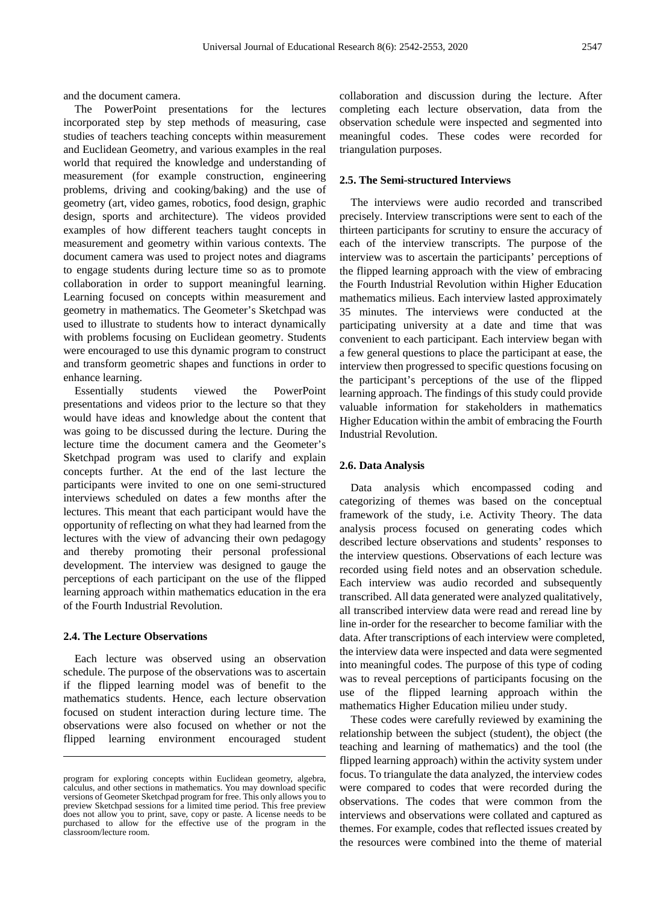and the document camera.

The PowerPoint presentations for the lectures incorporated step by step methods of measuring, case studies of teachers teaching concepts within measurement and Euclidean Geometry, and various examples in the real world that required the knowledge and understanding of measurement (for example construction, engineering problems, driving and cooking/baking) and the use of geometry (art, video games, robotics, food design, graphic design, sports and architecture). The videos provided examples of how different teachers taught concepts in measurement and geometry within various contexts. The document camera was used to project notes and diagrams to engage students during lecture time so as to promote collaboration in order to support meaningful learning. Learning focused on concepts within measurement and geometry in mathematics. The Geometer's Sketchpad was used to illustrate to students how to interact dynamically with problems focusing on Euclidean geometry. Students were encouraged to use this dynamic program to construct and transform geometric shapes and functions in order to enhance learning.

Essentially students viewed the PowerPoint presentations and videos prior to the lecture so that they would have ideas and knowledge about the content that was going to be discussed during the lecture. During the lecture time the document camera and the Geometer's Sketchpad program was used to clarify and explain concepts further. At the end of the last lecture the participants were invited to one on one semi-structured interviews scheduled on dates a few months after the lectures. This meant that each participant would have the opportunity of reflecting on what they had learned from the lectures with the view of advancing their own pedagogy and thereby promoting their personal professional development. The interview was designed to gauge the perceptions of each participant on the use of the flipped learning approach within mathematics education in the era of the Fourth Industrial Revolution.

#### **2.4. The Lecture Observations**

 $\overline{a}$ 

Each lecture was observed using an observation schedule. The purpose of the observations was to ascertain if the flipped learning model was of benefit to the mathematics students. Hence, each lecture observation focused on student interaction during lecture time. The observations were also focused on whether or not the flipped learning environment encouraged student collaboration and discussion during the lecture. After completing each lecture observation, data from the observation schedule were inspected and segmented into meaningful codes. These codes were recorded for triangulation purposes.

#### **2.5. The Semi-structured Interviews**

The interviews were audio recorded and transcribed precisely. Interview transcriptions were sent to each of the thirteen participants for scrutiny to ensure the accuracy of each of the interview transcripts. The purpose of the interview was to ascertain the participants' perceptions of the flipped learning approach with the view of embracing the Fourth Industrial Revolution within Higher Education mathematics milieus. Each interview lasted approximately 35 minutes. The interviews were conducted at the participating university at a date and time that was convenient to each participant. Each interview began with a few general questions to place the participant at ease, the interview then progressed to specific questions focusing on the participant's perceptions of the use of the flipped learning approach. The findings of this study could provide valuable information for stakeholders in mathematics Higher Education within the ambit of embracing the Fourth Industrial Revolution.

#### **2.6. Data Analysis**

Data analysis which encompassed coding and categorizing of themes was based on the conceptual framework of the study, i.e. Activity Theory. The data analysis process focused on generating codes which described lecture observations and students' responses to the interview questions. Observations of each lecture was recorded using field notes and an observation schedule. Each interview was audio recorded and subsequently transcribed. All data generated were analyzed qualitatively, all transcribed interview data were read and reread line by line in-order for the researcher to become familiar with the data. After transcriptions of each interview were completed, the interview data were inspected and data were segmented into meaningful codes. The purpose of this type of coding was to reveal perceptions of participants focusing on the use of the flipped learning approach within the mathematics Higher Education milieu under study.

These codes were carefully reviewed by examining the relationship between the subject (student), the object (the teaching and learning of mathematics) and the tool (the flipped learning approach) within the activity system under focus. To triangulate the data analyzed, the interview codes were compared to codes that were recorded during the observations. The codes that were common from the interviews and observations were collated and captured as themes. For example, codes that reflected issues created by the resources were combined into the theme of material

program for exploring concepts within Euclidean geometry, algebra, calculus, and other sections in mathematics. You may download specific versions of Geometer Sketchpad program for free. This only allows you to preview Sketchpad sessions for a limited time period. This free preview does not allow you to print, save, copy or paste. A license needs to be purchased to allow for the effective use of the program in the classroom/lecture room.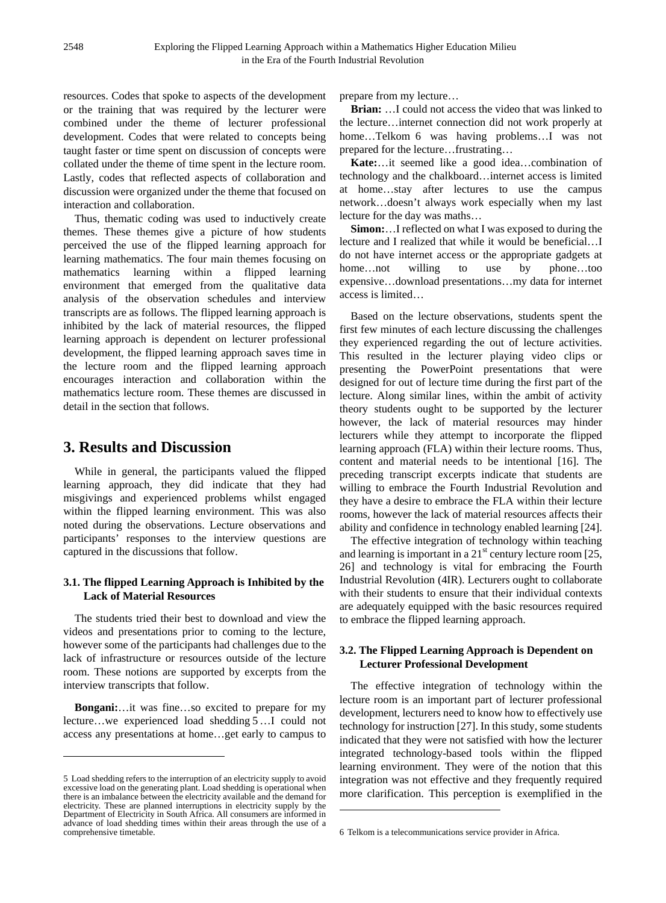resources. Codes that spoke to aspects of the development or the training that was required by the lecturer were combined under the theme of lecturer professional development. Codes that were related to concepts being taught faster or time spent on discussion of concepts were collated under the theme of time spent in the lecture room. Lastly, codes that reflected aspects of collaboration and discussion were organized under the theme that focused on interaction and collaboration.

Thus, thematic coding was used to inductively create themes. These themes give a picture of how students perceived the use of the flipped learning approach for learning mathematics. The four main themes focusing on mathematics learning within a flipped learning environment that emerged from the qualitative data analysis of the observation schedules and interview transcripts are as follows. The flipped learning approach is inhibited by the lack of material resources, the flipped learning approach is dependent on lecturer professional development, the flipped learning approach saves time in the lecture room and the flipped learning approach encourages interaction and collaboration within the mathematics lecture room. These themes are discussed in detail in the section that follows.

## **3. Results and Discussion**

While in general, the participants valued the flipped learning approach, they did indicate that they had misgivings and experienced problems whilst engaged within the flipped learning environment. This was also noted during the observations. Lecture observations and participants' responses to the interview questions are captured in the discussions that follow.

#### **3.1. The flipped Learning Approach is Inhibited by the Lack of Material Resources**

The students tried their best to download and view the videos and presentations prior to coming to the lecture, however some of the participants had challenges due to the lack of infrastructure or resources outside of the lecture room. These notions are supported by excerpts from the interview transcripts that follow.

**Bongani:**…it was fine…so excited to prepare for my lecture…we experienced load shedding [5](#page-6-0)…I could not access any presentations at home…get early to campus to

 $\overline{a}$ 

prepare from my lecture…

**Brian:** …I could not access the video that was linked to the lecture…internet connection did not work properly at home…Telkom [6](#page-6-1) was having problems…I was not prepared for the lecture…frustrating…

**Kate:**…it seemed like a good idea…combination of technology and the chalkboard…internet access is limited at home…stay after lectures to use the campus network…doesn't always work especially when my last lecture for the day was maths…

**Simon:**…I reflected on what I was exposed to during the lecture and I realized that while it would be beneficial…I do not have internet access or the appropriate gadgets at home...not willing to use by phone...too expensive…download presentations…my data for internet access is limited…

Based on the lecture observations, students spent the first few minutes of each lecture discussing the challenges they experienced regarding the out of lecture activities. This resulted in the lecturer playing video clips or presenting the PowerPoint presentations that were designed for out of lecture time during the first part of the lecture. Along similar lines, within the ambit of activity theory students ought to be supported by the lecturer however, the lack of material resources may hinder lecturers while they attempt to incorporate the flipped learning approach (FLA) within their lecture rooms. Thus, content and material needs to be intentional [16]. The preceding transcript excerpts indicate that students are willing to embrace the Fourth Industrial Revolution and they have a desire to embrace the FLA within their lecture rooms, however the lack of material resources affects their ability and confidence in technology enabled learning [24].

The effective integration of technology within teaching and learning is important in a  $21<sup>st</sup>$  century lecture room [25, 26] and technology is vital for embracing the Fourth Industrial Revolution (4IR). Lecturers ought to collaborate with their students to ensure that their individual contexts are adequately equipped with the basic resources required to embrace the flipped learning approach.

### **3.2. The Flipped Learning Approach is Dependent on Lecturer Professional Development**

The effective integration of technology within the lecture room is an important part of lecturer professional development, lecturers need to know how to effectively use technology for instruction [27]. In this study, some students indicated that they were not satisfied with how the lecturer integrated technology-based tools within the flipped learning environment. They were of the notion that this integration was not effective and they frequently required more clarification. This perception is exemplified in the

**.** 

<span id="page-6-1"></span><span id="page-6-0"></span><sup>5</sup> Load shedding refers to the interruption of an electricity supply to avoid excessive load on the generating plant. Load shedding is operational when there is an imbalance between the electricity available and the demand for electricity. These are planned interruptions in electricity supply by the Department of Electricity in South Africa. All consumers are informed in advance of load shedding times within their areas through the use of a comprehensive timetable.

<sup>6</sup> Telkom is a telecommunications service provider in Africa.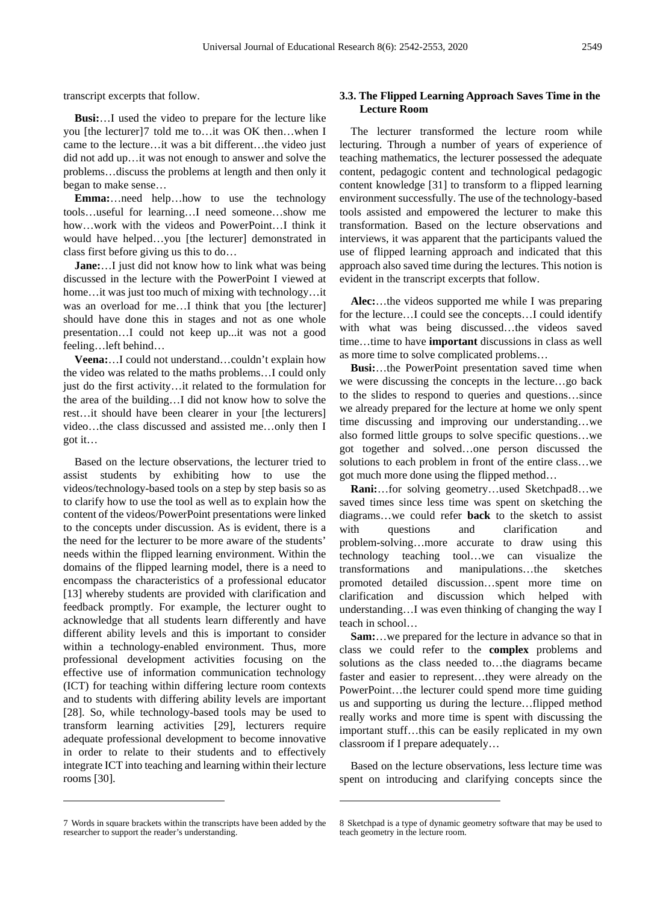transcript excerpts that follow.

**Busi:**…I used the video to prepare for the lecture like you [the lecturer][7](#page-7-0) told me to…it was OK then…when I came to the lecture…it was a bit different…the video just did not add up…it was not enough to answer and solve the problems…discuss the problems at length and then only it began to make sense…

**Emma:**…need help…how to use the technology tools…useful for learning…I need someone…show me how…work with the videos and PowerPoint…I think it would have helped…you [the lecturer] demonstrated in class first before giving us this to do…

**Jane:**…I just did not know how to link what was being discussed in the lecture with the PowerPoint I viewed at home... it was just too much of mixing with technology... it was an overload for me...I think that you [the lecturer] should have done this in stages and not as one whole presentation…I could not keep up...it was not a good feeling…left behind…

**Veena:**…I could not understand…couldn't explain how the video was related to the maths problems…I could only just do the first activity…it related to the formulation for the area of the building…I did not know how to solve the rest…it should have been clearer in your [the lecturers] video…the class discussed and assisted me…only then I got it…

Based on the lecture observations, the lecturer tried to assist students by exhibiting how to use the videos/technology-based tools on a step by step basis so as to clarify how to use the tool as well as to explain how the content of the videos/PowerPoint presentations were linked to the concepts under discussion. As is evident, there is a the need for the lecturer to be more aware of the students' needs within the flipped learning environment. Within the domains of the flipped learning model, there is a need to encompass the characteristics of a professional educator [13] whereby students are provided with clarification and feedback promptly. For example, the lecturer ought to acknowledge that all students learn differently and have different ability levels and this is important to consider within a technology-enabled environment. Thus, more professional development activities focusing on the effective use of information communication technology (ICT) for teaching within differing lecture room contexts and to students with differing ability levels are important [28]. So, while technology-based tools may be used to transform learning activities [29], lecturers require adequate professional development to become innovative in order to relate to their students and to effectively integrate ICT into teaching and learning within their lecture rooms [30].

**-**

 $\overline{a}$ 

#### **3.3. The Flipped Learning Approach Saves Time in the Lecture Room**

The lecturer transformed the lecture room while lecturing. Through a number of years of experience of teaching mathematics, the lecturer possessed the adequate content, pedagogic content and technological pedagogic content knowledge [31] to transform to a flipped learning environment successfully. The use of the technology-based tools assisted and empowered the lecturer to make this transformation. Based on the lecture observations and interviews, it was apparent that the participants valued the use of flipped learning approach and indicated that this approach also saved time during the lectures. This notion is evident in the transcript excerpts that follow.

**Alec:**…the videos supported me while I was preparing for the lecture…I could see the concepts…I could identify with what was being discussed…the videos saved time…time to have **important** discussions in class as well as more time to solve complicated problems…

**Busi:**…the PowerPoint presentation saved time when we were discussing the concepts in the lecture…go back to the slides to respond to queries and questions…since we already prepared for the lecture at home we only spent time discussing and improving our understanding…we also formed little groups to solve specific questions…we got together and solved…one person discussed the solutions to each problem in front of the entire class…we got much more done using the flipped method…

**Rani:**…for solving geometry…used Sketchpad[8](#page-7-0)…we saved times since less time was spent on sketching the diagrams…we could refer **back** to the sketch to assist with questions and clarification and problem-solving…more accurate to draw using this technology teaching tool…we can visualize the transformations and manipulations…the sketches promoted detailed discussion…spent more time on clarification and discussion which helped with understanding…I was even thinking of changing the way I teach in school…

**Sam:**…we prepared for the lecture in advance so that in class we could refer to the **complex** problems and solutions as the class needed to…the diagrams became faster and easier to represent…they were already on the PowerPoint…the lecturer could spend more time guiding us and supporting us during the lecture…flipped method really works and more time is spent with discussing the important stuff…this can be easily replicated in my own classroom if I prepare adequately…

Based on the lecture observations, less lecture time was spent on introducing and clarifying concepts since the

<span id="page-7-0"></span><sup>7</sup> Words in square brackets within the transcripts have been added by the researcher to support the reader's understanding.

<sup>8</sup> Sketchpad is a type of dynamic geometry software that may be used to teach geometry in the lecture room.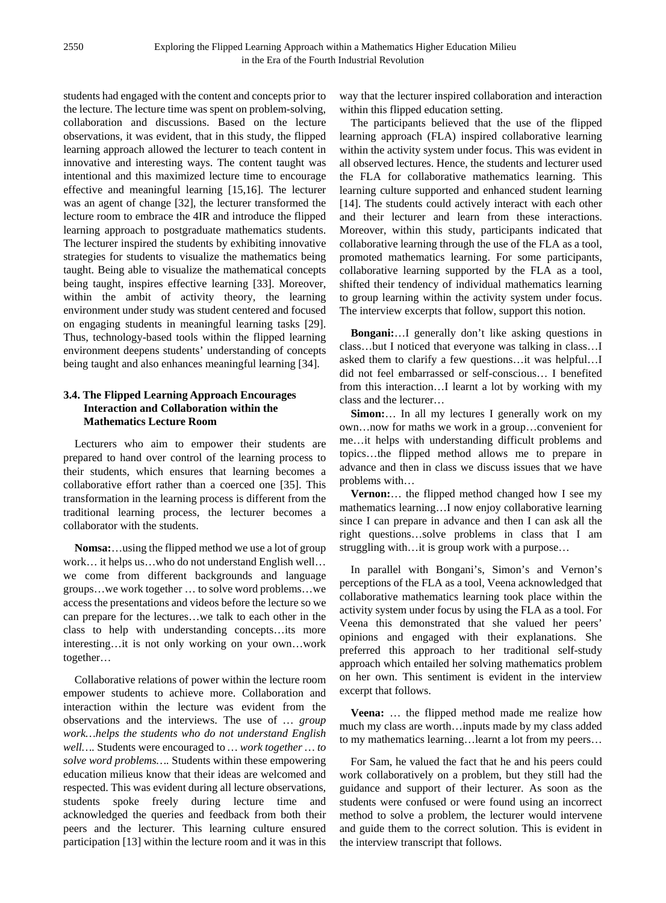students had engaged with the content and concepts prior to the lecture. The lecture time was spent on problem-solving, collaboration and discussions. Based on the lecture observations, it was evident, that in this study, the flipped learning approach allowed the lecturer to teach content in innovative and interesting ways. The content taught was intentional and this maximized lecture time to encourage effective and meaningful learning [15,16]. The lecturer was an agent of change [32], the lecturer transformed the lecture room to embrace the 4IR and introduce the flipped learning approach to postgraduate mathematics students. The lecturer inspired the students by exhibiting innovative strategies for students to visualize the mathematics being taught. Being able to visualize the mathematical concepts being taught, inspires effective learning [33]. Moreover, within the ambit of activity theory, the learning environment under study was student centered and focused on engaging students in meaningful learning tasks [29]. Thus, technology-based tools within the flipped learning environment deepens students' understanding of concepts being taught and also enhances meaningful learning [34].

#### **3.4. The Flipped Learning Approach Encourages Interaction and Collaboration within the Mathematics Lecture Room**

Lecturers who aim to empower their students are prepared to hand over control of the learning process to their students, which ensures that learning becomes a collaborative effort rather than a coerced one [35]. This transformation in the learning process is different from the traditional learning process, the lecturer becomes a collaborator with the students.

**Nomsa:**…using the flipped method we use a lot of group work… it helps us…who do not understand English well… we come from different backgrounds and language groups…we work together … to solve word problems…we access the presentations and videos before the lecture so we can prepare for the lectures…we talk to each other in the class to help with understanding concepts…its more interesting…it is not only working on your own…work together…

Collaborative relations of power within the lecture room empower students to achieve more. Collaboration and interaction within the lecture was evident from the observations and the interviews. The use of *… group work…helps the students who do not understand English well….* Students were encouraged to *… work together … to solve word problems….* Students within these empowering education milieus know that their ideas are welcomed and respected. This was evident during all lecture observations, students spoke freely during lecture time and acknowledged the queries and feedback from both their peers and the lecturer. This learning culture ensured participation [13] within the lecture room and it was in this

way that the lecturer inspired collaboration and interaction within this flipped education setting.

The participants believed that the use of the flipped learning approach (FLA) inspired collaborative learning within the activity system under focus. This was evident in all observed lectures. Hence, the students and lecturer used the FLA for collaborative mathematics learning. This learning culture supported and enhanced student learning [14]. The students could actively interact with each other and their lecturer and learn from these interactions. Moreover, within this study, participants indicated that collaborative learning through the use of the FLA as a tool, promoted mathematics learning. For some participants, collaborative learning supported by the FLA as a tool, shifted their tendency of individual mathematics learning to group learning within the activity system under focus. The interview excerpts that follow, support this notion.

**Bongani:**…I generally don't like asking questions in class…but I noticed that everyone was talking in class…I asked them to clarify a few questions…it was helpful…I did not feel embarrassed or self-conscious… I benefited from this interaction…I learnt a lot by working with my class and the lecturer…

**Simon:**… In all my lectures I generally work on my own…now for maths we work in a group…convenient for me…it helps with understanding difficult problems and topics…the flipped method allows me to prepare in advance and then in class we discuss issues that we have problems with…

**Vernon:**… the flipped method changed how I see my mathematics learning…I now enjoy collaborative learning since I can prepare in advance and then I can ask all the right questions…solve problems in class that I am struggling with…it is group work with a purpose…

In parallel with Bongani's, Simon's and Vernon's perceptions of the FLA as a tool, Veena acknowledged that collaborative mathematics learning took place within the activity system under focus by using the FLA as a tool. For Veena this demonstrated that she valued her peers' opinions and engaged with their explanations. She preferred this approach to her traditional self-study approach which entailed her solving mathematics problem on her own. This sentiment is evident in the interview excerpt that follows.

**Veena:** … the flipped method made me realize how much my class are worth…inputs made by my class added to my mathematics learning…learnt a lot from my peers…

For Sam, he valued the fact that he and his peers could work collaboratively on a problem, but they still had the guidance and support of their lecturer. As soon as the students were confused or were found using an incorrect method to solve a problem, the lecturer would intervene and guide them to the correct solution. This is evident in the interview transcript that follows.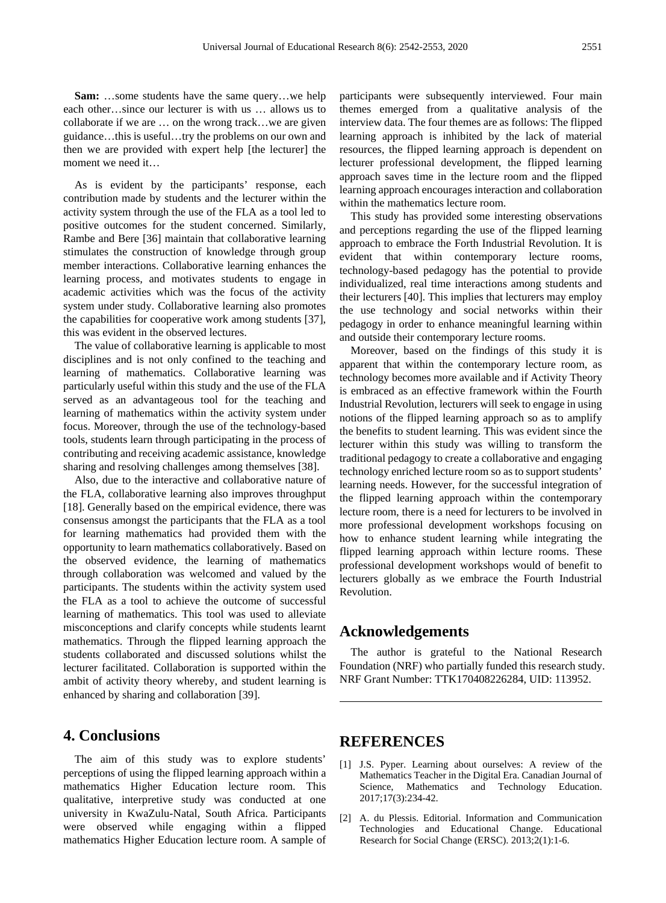**Sam:** …some students have the same query…we help each other…since our lecturer is with us … allows us to collaborate if we are … on the wrong track…we are given guidance…this is useful…try the problems on our own and then we are provided with expert help [the lecturer] the moment we need it…

As is evident by the participants' response, each contribution made by students and the lecturer within the activity system through the use of the FLA as a tool led to positive outcomes for the student concerned. Similarly, Rambe and Bere [36] maintain that collaborative learning stimulates the construction of knowledge through group member interactions. Collaborative learning enhances the learning process, and motivates students to engage in academic activities which was the focus of the activity system under study. Collaborative learning also promotes the capabilities for cooperative work among students [37], this was evident in the observed lectures.

The value of collaborative learning is applicable to most disciplines and is not only confined to the teaching and learning of mathematics. Collaborative learning was particularly useful within this study and the use of the FLA served as an advantageous tool for the teaching and learning of mathematics within the activity system under focus. Moreover, through the use of the technology-based tools, students learn through participating in the process of contributing and receiving academic assistance, knowledge sharing and resolving challenges among themselves [38].

Also, due to the interactive and collaborative nature of the FLA, collaborative learning also improves throughput [18]. Generally based on the empirical evidence, there was consensus amongst the participants that the FLA as a tool for learning mathematics had provided them with the opportunity to learn mathematics collaboratively. Based on the observed evidence, the learning of mathematics through collaboration was welcomed and valued by the participants. The students within the activity system used the FLA as a tool to achieve the outcome of successful learning of mathematics. This tool was used to alleviate misconceptions and clarify concepts while students learnt mathematics. Through the flipped learning approach the students collaborated and discussed solutions whilst the lecturer facilitated. Collaboration is supported within the ambit of activity theory whereby, and student learning is enhanced by sharing and collaboration [39].

### **4. Conclusions**

The aim of this study was to explore students' perceptions of using the flipped learning approach within a mathematics Higher Education lecture room. This qualitative, interpretive study was conducted at one university in KwaZulu-Natal, South Africa. Participants were observed while engaging within a flipped mathematics Higher Education lecture room. A sample of participants were subsequently interviewed. Four main themes emerged from a qualitative analysis of the interview data. The four themes are as follows: The flipped learning approach is inhibited by the lack of material resources, the flipped learning approach is dependent on lecturer professional development, the flipped learning approach saves time in the lecture room and the flipped learning approach encourages interaction and collaboration within the mathematics lecture room.

This study has provided some interesting observations and perceptions regarding the use of the flipped learning approach to embrace the Forth Industrial Revolution. It is evident that within contemporary lecture rooms, technology-based pedagogy has the potential to provide individualized, real time interactions among students and their lecturers [40]. This implies that lecturers may employ the use technology and social networks within their pedagogy in order to enhance meaningful learning within and outside their contemporary lecture rooms.

Moreover, based on the findings of this study it is apparent that within the contemporary lecture room, as technology becomes more available and if Activity Theory is embraced as an effective framework within the Fourth Industrial Revolution, lecturers will seek to engage in using notions of the flipped learning approach so as to amplify the benefits to student learning. This was evident since the lecturer within this study was willing to transform the traditional pedagogy to create a collaborative and engaging technology enriched lecture room so as to support students' learning needs. However, for the successful integration of the flipped learning approach within the contemporary lecture room, there is a need for lecturers to be involved in more professional development workshops focusing on how to enhance student learning while integrating the flipped learning approach within lecture rooms. These professional development workshops would of benefit to lecturers globally as we embrace the Fourth Industrial Revolution.

### **Acknowledgements**

The author is grateful to the National Research Foundation (NRF) who partially funded this research study. NRF Grant Number: TTK170408226284, UID: 113952.

### **REFERENCES**

- [1] J.S. Pyper. Learning about ourselves: A review of the Mathematics Teacher in the Digital Era. Canadian Journal of Science, Mathematics and Technology Education. 2017;17(3):234-42.
- [2] A. du Plessis. Editorial. Information and Communication Technologies and Educational Change. Educational Research for Social Change (ERSC). 2013;2(1):1-6.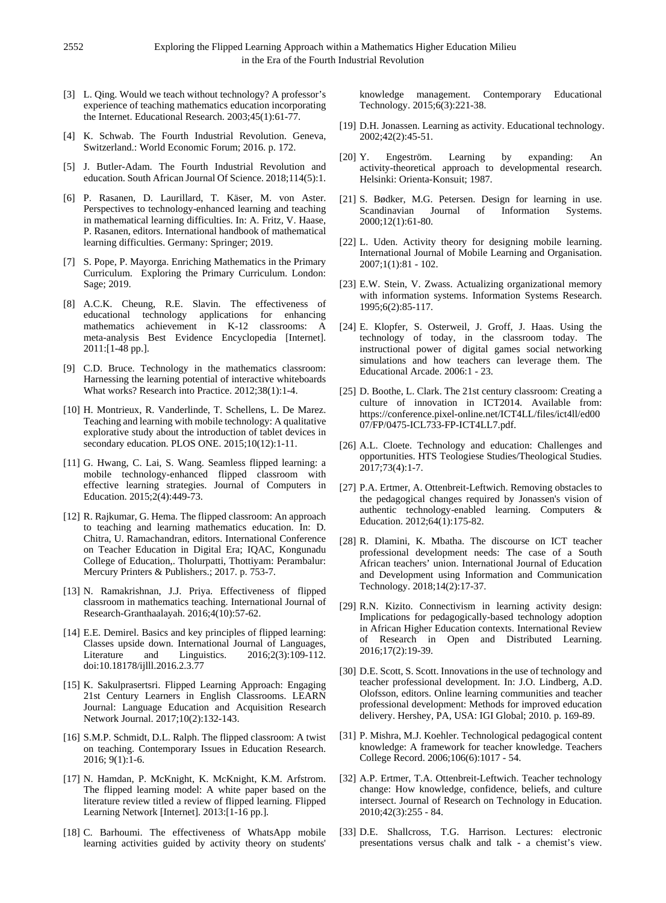- [3] L. Qing. Would we teach without technology? A professor's experience of teaching mathematics education incorporating the Internet. Educational Research. 2003;45(1):61-77.
- [4] K. Schwab. The Fourth Industrial Revolution. Geneva, Switzerland.: World Economic Forum; 2016. p. 172.
- [5] J. Butler-Adam. The Fourth Industrial Revolution and education. South African Journal Of Science. 2018;114(5):1.
- [6] P. Rasanen, D. Laurillard, T. Käser, M. von Aster. Perspectives to technology-enhanced learning and teaching in mathematical learning difficulties. In: A. Fritz, V. Haase, P. Rasanen, editors. International handbook of mathematical learning difficulties. Germany: Springer; 2019.
- [7] S. Pope, P. Mayorga. Enriching Mathematics in the Primary Curriculum. Exploring the Primary Curriculum. London: Sage; 2019.
- [8] A.C.K. Cheung, R.E. Slavin. The effectiveness of educational technology applications for enhancing mathematics achievement in K-12 classrooms: A meta-analysis Best Evidence Encyclopedia [Internet]. 2011:[1-48 pp.].
- [9] C.D. Bruce. Technology in the mathematics classroom: Harnessing the learning potential of interactive whiteboards What works? Research into Practice. 2012;38(1):1-4.
- [10] H. Montrieux, R. Vanderlinde, T. Schellens, L. De Marez. Teaching and learning with mobile technology: A qualitative explorative study about the introduction of tablet devices in secondary education. PLOS ONE. 2015;10(12):1-11.
- [11] G. Hwang, C. Lai, S. Wang. Seamless flipped learning: a mobile technology-enhanced flipped classroom with effective learning strategies. Journal of Computers in Education. 2015;2(4):449-73.
- [12] R. Rajkumar, G. Hema. The flipped classroom: An approach to teaching and learning mathematics education. In: D. Chitra, U. Ramachandran, editors. International Conference on Teacher Education in Digital Era; IQAC, Kongunadu College of Education,. Tholurpatti, Thottiyam: Perambalur: Mercury Printers & Publishers.; 2017. p. 753-7.
- [13] N. Ramakrishnan, J.J. Priya. Effectiveness of flipped classroom in mathematics teaching. International Journal of Research-Granthaalayah. 2016;4(10):57-62.
- [14] E.E. Demirel. Basics and key principles of flipped learning: Classes upside down. International Journal of Languages, Literature and Linguistics. 2016;2(3):109-112. doi:10.18178/ijlll.2016.2.3.77
- [15] K. Sakulprasertsri. Flipped Learning Approach: Engaging 21st Century Learners in English Classrooms. LEARN Journal: Language Education and Acquisition Research Network Journal. 2017;10(2):132-143.
- [16] S.M.P. Schmidt, D.L. Ralph. The flipped classroom: A twist on teaching. Contemporary Issues in Education Research. 2016; 9(1):1-6.
- [17] N. Hamdan, P. McKnight, K. McKnight, K.M. Arfstrom. The flipped learning model: A white paper based on the literature review titled a review of flipped learning. Flipped Learning Network [Internet]. 2013:[1-16 pp.].
- [18] C. Barhoumi. The effectiveness of WhatsApp mobile learning activities guided by activity theory on students'

knowledge management. Contemporary Educational Technology. 2015;6(3):221-38.

- [19] D.H. Jonassen. Learning as activity. Educational technology. 2002;42(2):45-51.
- [20] Y. Engeström. Learning by expanding: An activity-theoretical approach to developmental research. Helsinki: Orienta-Konsuit; 1987.
- [21] S. Bødker, M.G. Petersen. Design for learning in use. Scandinavian Journal of Information Systems. 2000;12(1):61-80.
- [22] L. Uden. Activity theory for designing mobile learning. International Journal of Mobile Learning and Organisation. 2007;1(1):81 - 102.
- [23] E.W. Stein, V. Zwass. Actualizing organizational memory with information systems. Information Systems Research. 1995;6(2):85-117.
- [24] E. Klopfer, S. Osterweil, J. Groff, J. Haas. Using the technology of today, in the classroom today. The instructional power of digital games social networking simulations and how teachers can leverage them. The Educational Arcade. 2006:1 - 23.
- [25] D. Boothe, L. Clark. The 21st century classroom: Creating a culture of innovation in ICT2014. Available from: https://conference.pixel-online.net/ICT4LL/files/ict4ll/ed00 07/FP/0475-ICL733-FP-ICT4LL7.pdf.
- [26] A.L. Cloete. Technology and education: Challenges and opportunities. HTS Teologiese Studies/Theological Studies. 2017;73(4):1-7.
- [27] P.A. Ertmer, A. Ottenbreit-Leftwich. Removing obstacles to the pedagogical changes required by Jonassen's vision of authentic technology-enabled learning. Computers & Education. 2012;64(1):175-82.
- [28] R. Dlamini, K. Mbatha. The discourse on ICT teacher professional development needs: The case of a South African teachers' union. International Journal of Education and Development using Information and Communication Technology. 2018;14(2):17-37.
- [29] R.N. Kizito. Connectivism in learning activity design: Implications for pedagogically-based technology adoption in African Higher Education contexts. International Review of Research in Open and Distributed Learning. 2016;17(2):19-39.
- [30] D.E. Scott, S. Scott. Innovations in the use of technology and teacher professional development. In: J.O. Lindberg, A.D. Olofsson, editors. Online learning communities and teacher professional development: Methods for improved education delivery. Hershey, PA, USA: IGI Global; 2010. p. 169-89.
- [31] P. Mishra, M.J. Koehler. Technological pedagogical content knowledge: A framework for teacher knowledge. Teachers College Record. 2006;106(6):1017 - 54.
- [32] A.P. Ertmer, T.A. Ottenbreit-Leftwich. Teacher technology change: How knowledge, confidence, beliefs, and culture intersect. Journal of Research on Technology in Education. 2010;42(3):255 - 84.
- [33] D.E. Shallcross, T.G. Harrison. Lectures: electronic presentations versus chalk and talk - a chemist's view.